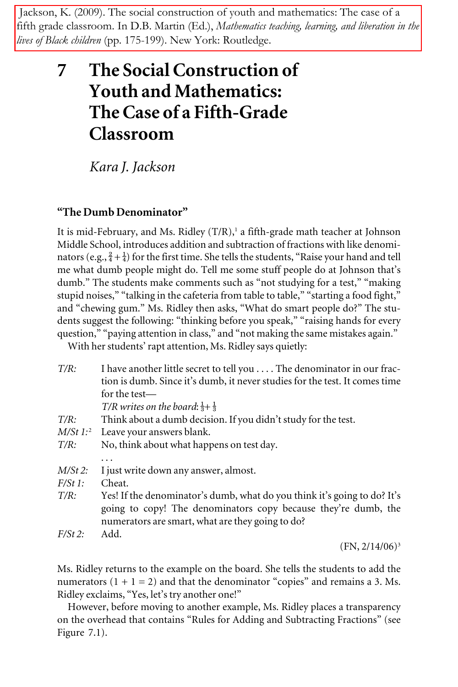Jackson, K. (2009). The social construction of youth and mathematics: The case of a fifth grade classroom. In D.B. Martin (Ed.), *Mathematics teaching, learning, and liberation in the lives of Black children* (pp. 175-199). New York: Routledge.

# **7 The Social Construction of Youth and Mathematics: The Case of a Fifth-Grade Classroom**

*Kara J. Jackson*

## **"The Dumb Denominator"**

It is mid-February, and Ms. Ridley  $(T/R)$ ,<sup>1</sup> a fifth-grade math teacher at Johnson Middle School, introduces addition and subtraction of fractions with like denominators (e.g.,  $\frac{2}{4} + \frac{1}{4}$ ) for the first time. She tells the students, "Raise your hand and tell me what dumb people might do. Tell me some stuff people do at Johnson that's dumb." The students make comments such as "not studying for a test," "making stupid noises," "talking in the cafeteria from table to table," "starting a food fight," and "chewing gum." Ms. Ridley then asks, "What do smart people do?" The students suggest the following: "thinking before you speak," "raising hands for every question," "paying attention in class," and "not making the same mistakes again."

With her students' rapt attention, Ms. Ridley says quietly:

| $T/R$ :                | I have another little secret to tell you The denominator in our frac-       |
|------------------------|-----------------------------------------------------------------------------|
|                        | tion is dumb. Since it's dumb, it never studies for the test. It comes time |
|                        | for the test—                                                               |
|                        | T/R writes on the board: $\frac{1}{3} + \frac{1}{3}$                        |
| $T/R$ :                | Think about a dumb decision. If you didn't study for the test.              |
| $M/St 1:$ <sup>2</sup> | Leave your answers blank.                                                   |
| $T/R$ :                | No, think about what happens on test day.                                   |
|                        |                                                                             |
| $M/St$ 2:              | I just write down any answer, almost.                                       |
| F/St 1:                | Cheat.                                                                      |
| $T/R$ :                | Yes! If the denominator's dumb, what do you think it's going to do? It's    |
|                        | going to copy! The denominators copy because they're dumb, the              |
|                        | numerators are smart, what are they going to do?                            |
|                        |                                                                             |

*F/St 2:* Add.

 $(FN, 2/14/06)^3$ 

Ms. Ridley returns to the example on the board. She tells the students to add the numerators  $(1 + 1 = 2)$  and that the denominator "copies" and remains a 3. Ms. Ridley exclaims, "Yes, let's try another one!"

However, before moving to another example, Ms. Ridley places a transparency on the overhead that contains "Rules for Adding and Subtracting Fractions" (see Figure 7.1).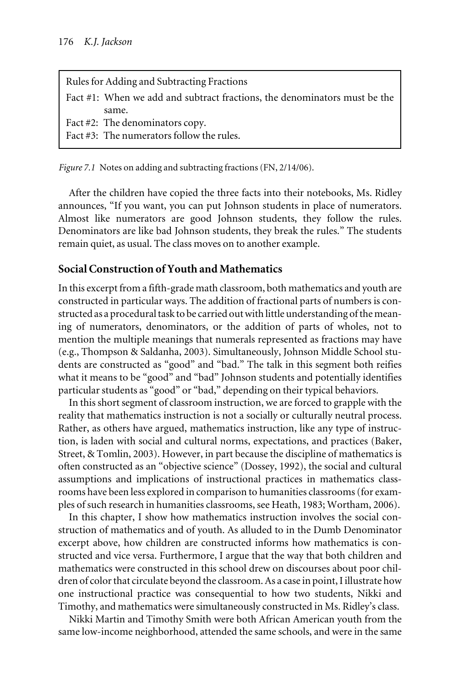| Rules for Adding and Subtracting Fractions                                |  |  |
|---------------------------------------------------------------------------|--|--|
| Fact #1: When we add and subtract fractions, the denominators must be the |  |  |
| same.                                                                     |  |  |
| Fact #2: The denominators copy.                                           |  |  |
| Fact #3: The numerators follow the rules.                                 |  |  |
|                                                                           |  |  |

*Figure 7.1* Notes on adding and subtracting fractions (FN, 2/14/06).

After the children have copied the three facts into their notebooks, Ms. Ridley announces, "If you want, you can put Johnson students in place of numerators. Almost like numerators are good Johnson students, they follow the rules. Denominators are like bad Johnson students, they break the rules." The students remain quiet, as usual. The class moves on to another example.

## **Social Construction of Youth and Mathematics**

In this excerpt from a fifth-grade math classroom, both mathematics and youth are constructed in particular ways. The addition of fractional parts of numbers is constructed as a procedural task to be carried out with little understanding of the meaning of numerators, denominators, or the addition of parts of wholes, not to mention the multiple meanings that numerals represented as fractions may have (e.g., Thompson & Saldanha, 2003). Simultaneously, Johnson Middle School students are constructed as "good" and "bad." The talk in this segment both reifies what it means to be "good" and "bad" Johnson students and potentially identifies particular students as "good" or "bad," depending on their typical behaviors.

In this short segment of classroom instruction, we are forced to grapple with the reality that mathematics instruction is not a socially or culturally neutral process. Rather, as others have argued, mathematics instruction, like any type of instruction, is laden with social and cultural norms, expectations, and practices (Baker, Street, & Tomlin, 2003). However, in part because the discipline of mathematics is often constructed as an "objective science" (Dossey, 1992), the social and cultural assumptions and implications of instructional practices in mathematics classrooms have been less explored in comparison to humanities classrooms (for examples of such research in humanities classrooms, see Heath, 1983; Wortham, 2006).

In this chapter, I show how mathematics instruction involves the social construction of mathematics and of youth. As alluded to in the Dumb Denominator excerpt above, how children are constructed informs how mathematics is constructed and vice versa. Furthermore, I argue that the way that both children and mathematics were constructed in this school drew on discourses about poor children of color that circulate beyond the classroom. As a case in point, I illustrate how one instructional practice was consequential to how two students, Nikki and Timothy, and mathematics were simultaneously constructed in Ms. Ridley's class.

Nikki Martin and Timothy Smith were both African American youth from the same low-income neighborhood, attended the same schools, and were in the same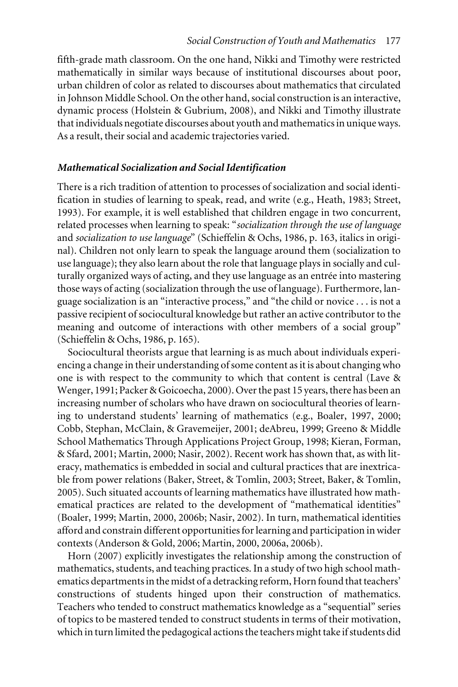fifth-grade math classroom. On the one hand, Nikki and Timothy were restricted mathematically in similar ways because of institutional discourses about poor, urban children of color as related to discourses about mathematics that circulated in Johnson Middle School. On the other hand, social construction is an interactive, dynamic process (Holstein & Gubrium, 2008), and Nikki and Timothy illustrate that individuals negotiate discourses about youth and mathematics in unique ways. As a result, their social and academic trajectories varied.

#### *Mathematical Socialization and Social Identification*

There is a rich tradition of attention to processes of socialization and social identification in studies of learning to speak, read, and write (e.g., Heath, 1983; Street, 1993). For example, it is well established that children engage in two concurrent, related processes when learning to speak: "*socialization through the use of language* and *socialization to use language*" (Schieffelin & Ochs, 1986, p. 163, italics in original). Children not only learn to speak the language around them (socialization to use language); they also learn about the role that language plays in socially and culturally organized ways of acting, and they use language as an entrée into mastering those ways of acting (socialization through the use of language). Furthermore, language socialization is an "interactive process," and "the child or novice . . . is not a passive recipient of sociocultural knowledge but rather an active contributor to the meaning and outcome of interactions with other members of a social group" (Schieffelin & Ochs, 1986, p. 165).

Sociocultural theorists argue that learning is as much about individuals experiencing a change in their understanding of some content as it is about changing who one is with respect to the community to which that content is central (Lave & Wenger, 1991; Packer & Goicoecha, 2000). Over the past 15 years, there has been an increasing number of scholars who have drawn on sociocultural theories of learning to understand students' learning of mathematics (e.g., Boaler, 1997, 2000; Cobb, Stephan, McClain, & Gravemeijer, 2001; deAbreu, 1999; Greeno & Middle School Mathematics Through Applications Project Group, 1998; Kieran, Forman, & Sfard, 2001; Martin, 2000; Nasir, 2002). Recent work has shown that, as with literacy, mathematics is embedded in social and cultural practices that are inextricable from power relations (Baker, Street, & Tomlin, 2003; Street, Baker, & Tomlin, 2005). Such situated accounts of learning mathematics have illustrated how mathematical practices are related to the development of "mathematical identities" (Boaler, 1999; Martin, 2000, 2006b; Nasir, 2002). In turn, mathematical identities afford and constrain different opportunities for learning and participation in wider contexts (Anderson & Gold, 2006; Martin, 2000, 2006a, 2006b).

Horn (2007) explicitly investigates the relationship among the construction of mathematics, students, and teaching practices. In a study of two high school mathematics departments in the midst of a detracking reform, Horn found that teachers' constructions of students hinged upon their construction of mathematics. Teachers who tended to construct mathematics knowledge as a "sequential" series of topics to be mastered tended to construct students in terms of their motivation, which in turn limited the pedagogical actions the teachers might take if students did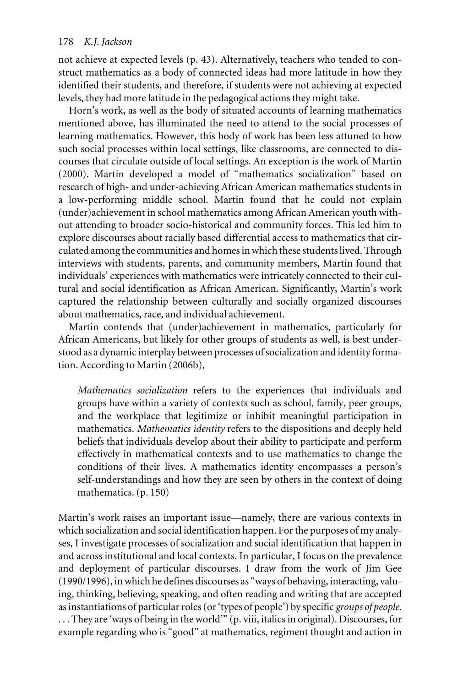not achieve at expected levels (p. 43). Alternatively, teachers who tended to construct mathematics as a body of connected ideas had more latitude in how they identified their students, and therefore, if students were not achieving at expected levels, they had more latitude in the pedagogical actions they might take.

Horn's work, as well as the body of situated accounts of learning mathematics mentioned above, has illuminated the need to attend to the social processes of learning mathematics. However, this body of work has been less attuned to how such social processes within local settings, like classrooms, are connected to discourses that circulate outside of local settings. An exception is the work of Martin (2000). Martin developed a model of "mathematics socialization" based on research of high- and under-achieving African American mathematics students in a low-performing middle school. Martin found that he could not explain (under)achievement in school mathematics among African American youth without attending to broader socio-historical and community forces. This led him to explore discourses about racially based differential access to mathematics that circulated among the communities and homes in which these students lived. Through interviews with students, parents, and community members, Martin found that individuals' experiences with mathematics were intricately connected to their cultural and social identification as African American. Significantly, Martin's work captured the relationship between culturally and socially organized discourses about mathematics, race, and individual achievement.

Martin contends that (under)achievement in mathematics, particularly for African Americans, but likely for other groups of students as well, is best understood as a dynamic interplay between processes of socialization and identity formation. According to Martin (2006b),

*Mathematics socialization* refers to the experiences that individuals and groups have within a variety of contexts such as school, family, peer groups, and the workplace that legitimize or inhibit meaningful participation in mathematics. *Mathematics identity* refers to the dispositions and deeply held beliefs that individuals develop about their ability to participate and perform effectively in mathematical contexts and to use mathematics to change the conditions of their lives. A mathematics identity encompasses a person's self-understandings and how they are seen by others in the context of doing mathematics. (p. 150)

Martin's work raises an important issue—namely, there are various contexts in which socialization and social identification happen. For the purposes of my analyses, I investigate processes of socialization and social identification that happen in and across institutional and local contexts. In particular, I focus on the prevalence and deployment of particular discourses. I draw from the work of Jim Gee (1990/1996), in which he defines discourses as "ways of behaving, interacting, valuing, thinking, believing, speaking, and often reading and writing that are accepted as instantiations of particular roles (or 'types of people') by specific *groups of people*. . . . They are 'ways of being in the world'" (p. viii, italics in original). Discourses, for example regarding who is "good" at mathematics, regiment thought and action in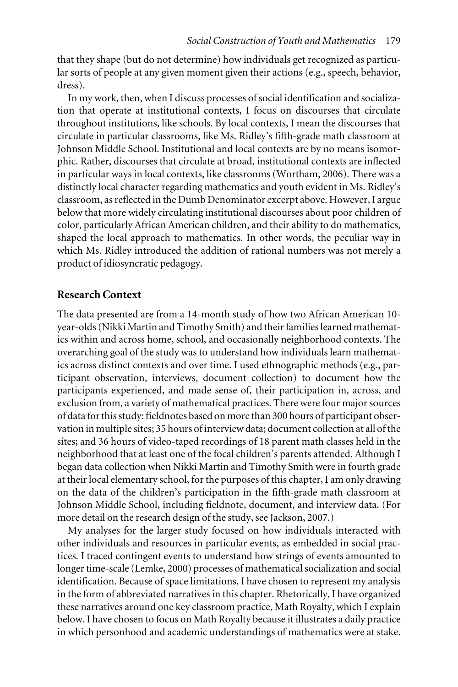that they shape (but do not determine) how individuals get recognized as particular sorts of people at any given moment given their actions (e.g., speech, behavior, dress).

In my work, then, when I discuss processes of social identification and socialization that operate at institutional contexts, I focus on discourses that circulate throughout institutions, like schools. By local contexts, I mean the discourses that circulate in particular classrooms, like Ms. Ridley's fifth-grade math classroom at Johnson Middle School. Institutional and local contexts are by no means isomorphic. Rather, discourses that circulate at broad, institutional contexts are inflected in particular ways in local contexts, like classrooms (Wortham, 2006). There was a distinctly local character regarding mathematics and youth evident in Ms. Ridley's classroom, as reflected in the Dumb Denominator excerpt above. However, I argue below that more widely circulating institutional discourses about poor children of color, particularly African American children, and their ability to do mathematics, shaped the local approach to mathematics. In other words, the peculiar way in which Ms. Ridley introduced the addition of rational numbers was not merely a product of idiosyncratic pedagogy.

## **Research Context**

The data presented are from a 14-month study of how two African American 10 year-olds (Nikki Martin and Timothy Smith) and their families learned mathematics within and across home, school, and occasionally neighborhood contexts. The overarching goal of the study was to understand how individuals learn mathematics across distinct contexts and over time. I used ethnographic methods (e.g., participant observation, interviews, document collection) to document how the participants experienced, and made sense of, their participation in, across, and exclusion from, a variety of mathematical practices. There were four major sources of data for this study: fieldnotes based on more than 300 hours of participant observation in multiple sites; 35 hours of interview data; document collection at all of the sites; and 36 hours of video-taped recordings of 18 parent math classes held in the neighborhood that at least one of the focal children's parents attended. Although I began data collection when Nikki Martin and Timothy Smith were in fourth grade at their local elementary school, for the purposes of this chapter, I am only drawing on the data of the children's participation in the fifth-grade math classroom at Johnson Middle School, including fieldnote, document, and interview data. (For more detail on the research design of the study, see Jackson, 2007.)

My analyses for the larger study focused on how individuals interacted with other individuals and resources in particular events, as embedded in social practices. I traced contingent events to understand how strings of events amounted to longer time-scale (Lemke, 2000) processes of mathematical socialization and social identification. Because of space limitations, I have chosen to represent my analysis in the form of abbreviated narratives in this chapter. Rhetorically, I have organized these narratives around one key classroom practice, Math Royalty, which I explain below. I have chosen to focus on Math Royalty because it illustrates a daily practice in which personhood and academic understandings of mathematics were at stake.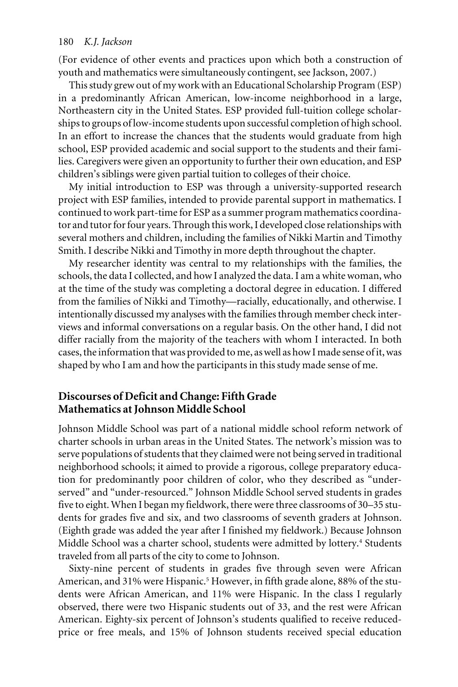(For evidence of other events and practices upon which both a construction of youth and mathematics were simultaneously contingent, see Jackson, 2007.)

This study grew out of my work with an Educational Scholarship Program (ESP) in a predominantly African American, low-income neighborhood in a large, Northeastern city in the United States. ESP provided full-tuition college scholarships to groups of low-income students upon successful completion of high school. In an effort to increase the chances that the students would graduate from high school, ESP provided academic and social support to the students and their families. Caregivers were given an opportunity to further their own education, and ESP children's siblings were given partial tuition to colleges of their choice.

My initial introduction to ESP was through a university-supported research project with ESP families, intended to provide parental support in mathematics. I continued to work part-time for ESP as a summer program mathematics coordinator and tutor for four years. Through this work, I developed close relationships with several mothers and children, including the families of Nikki Martin and Timothy Smith. I describe Nikki and Timothy in more depth throughout the chapter.

My researcher identity was central to my relationships with the families, the schools, the data I collected, and how I analyzed the data. I am a white woman, who at the time of the study was completing a doctoral degree in education. I differed from the families of Nikki and Timothy—racially, educationally, and otherwise. I intentionally discussed my analyses with the families through member check interviews and informal conversations on a regular basis. On the other hand, I did not differ racially from the majority of the teachers with whom I interacted. In both cases, the information that was provided to me, as well as how I made sense of it, was shaped by who I am and how the participants in this study made sense of me.

## **Discourses of Deficit and Change: Fifth Grade Mathematics at Johnson Middle School**

Johnson Middle School was part of a national middle school reform network of charter schools in urban areas in the United States. The network's mission was to serve populations of students that they claimed were not being served in traditional neighborhood schools; it aimed to provide a rigorous, college preparatory education for predominantly poor children of color, who they described as "underserved" and "under-resourced." Johnson Middle School served students in grades five to eight. When I began my fieldwork, there were three classrooms of 30–35 students for grades five and six, and two classrooms of seventh graders at Johnson. (Eighth grade was added the year after I finished my fieldwork.) Because Johnson Middle School was a charter school, students were admitted by lottery.<sup>4</sup> Students traveled from all parts of the city to come to Johnson.

Sixty-nine percent of students in grades five through seven were African American, and 31% were Hispanic.<sup>5</sup> However, in fifth grade alone, 88% of the students were African American, and 11% were Hispanic. In the class I regularly observed, there were two Hispanic students out of 33, and the rest were African American. Eighty-six percent of Johnson's students qualified to receive reducedprice or free meals, and 15% of Johnson students received special education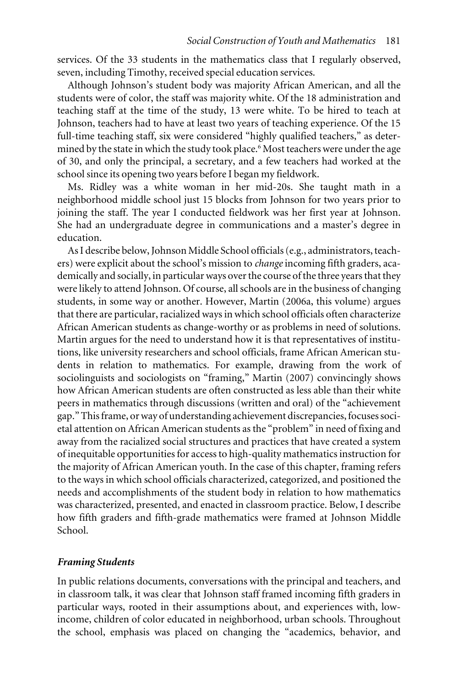services. Of the 33 students in the mathematics class that I regularly observed, seven, including Timothy, received special education services.

Although Johnson's student body was majority African American, and all the students were of color, the staff was majority white. Of the 18 administration and teaching staff at the time of the study, 13 were white. To be hired to teach at Johnson, teachers had to have at least two years of teaching experience. Of the 15 full-time teaching staff, six were considered "highly qualified teachers," as determined by the state in which the study took place.<sup>6</sup> Most teachers were under the age of 30, and only the principal, a secretary, and a few teachers had worked at the school since its opening two years before I began my fieldwork.

Ms. Ridley was a white woman in her mid-20s. She taught math in a neighborhood middle school just 15 blocks from Johnson for two years prior to joining the staff. The year I conducted fieldwork was her first year at Johnson. She had an undergraduate degree in communications and a master's degree in education.

As I describe below, Johnson Middle School officials (e.g., administrators, teachers) were explicit about the school's mission to *change* incoming fifth graders, academically and socially, in particular ways over the course of the three years that they were likely to attend Johnson. Of course, all schools are in the business of changing students, in some way or another. However, Martin (2006a, this volume) argues that there are particular, racialized ways in which school officials often characterize African American students as change-worthy or as problems in need of solutions. Martin argues for the need to understand how it is that representatives of institutions, like university researchers and school officials, frame African American students in relation to mathematics. For example, drawing from the work of sociolinguists and sociologists on "framing," Martin (2007) convincingly shows how African American students are often constructed as less able than their white peers in mathematics through discussions (written and oral) of the "achievement gap." This frame, or way of understanding achievement discrepancies, focuses societal attention on African American students as the "problem" in need of fixing and away from the racialized social structures and practices that have created a system of inequitable opportunities for access to high-quality mathematics instruction for the majority of African American youth. In the case of this chapter, framing refers to the ways in which school officials characterized, categorized, and positioned the needs and accomplishments of the student body in relation to how mathematics was characterized, presented, and enacted in classroom practice. Below, I describe how fifth graders and fifth-grade mathematics were framed at Johnson Middle School.

#### *Framing Students*

In public relations documents, conversations with the principal and teachers, and in classroom talk, it was clear that Johnson staff framed incoming fifth graders in particular ways, rooted in their assumptions about, and experiences with, lowincome, children of color educated in neighborhood, urban schools. Throughout the school, emphasis was placed on changing the "academics, behavior, and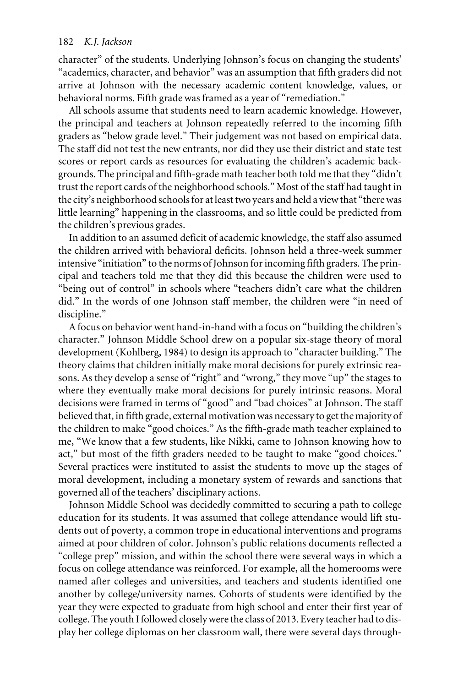character" of the students. Underlying Johnson's focus on changing the students' "academics, character, and behavior" was an assumption that fifth graders did not arrive at Johnson with the necessary academic content knowledge, values, or behavioral norms. Fifth grade was framed as a year of "remediation."

All schools assume that students need to learn academic knowledge. However, the principal and teachers at Johnson repeatedly referred to the incoming fifth graders as "below grade level." Their judgement was not based on empirical data. The staff did not test the new entrants, nor did they use their district and state test scores or report cards as resources for evaluating the children's academic backgrounds. The principal and fifth-grade math teacher both told me that they "didn't trust the report cards of the neighborhood schools." Most of the staff had taught in the city's neighborhood schools for at least two years and held a view that "there was little learning" happening in the classrooms, and so little could be predicted from the children's previous grades.

In addition to an assumed deficit of academic knowledge, the staff also assumed the children arrived with behavioral deficits. Johnson held a three-week summer intensive "initiation" to the norms of Johnson for incoming fifth graders. The principal and teachers told me that they did this because the children were used to "being out of control" in schools where "teachers didn't care what the children did." In the words of one Johnson staff member, the children were "in need of discipline."

A focus on behavior went hand-in-hand with a focus on "building the children's character." Johnson Middle School drew on a popular six-stage theory of moral development (Kohlberg, 1984) to design its approach to "character building." The theory claims that children initially make moral decisions for purely extrinsic reasons. As they develop a sense of "right" and "wrong," they move "up" the stages to where they eventually make moral decisions for purely intrinsic reasons. Moral decisions were framed in terms of "good" and "bad choices" at Johnson. The staff believed that, in fifth grade, external motivation was necessary to get the majority of the children to make "good choices." As the fifth-grade math teacher explained to me, "We know that a few students, like Nikki, came to Johnson knowing how to act," but most of the fifth graders needed to be taught to make "good choices." Several practices were instituted to assist the students to move up the stages of moral development, including a monetary system of rewards and sanctions that governed all of the teachers' disciplinary actions.

Johnson Middle School was decidedly committed to securing a path to college education for its students. It was assumed that college attendance would lift students out of poverty, a common trope in educational interventions and programs aimed at poor children of color. Johnson's public relations documents reflected a "college prep" mission, and within the school there were several ways in which a focus on college attendance was reinforced. For example, all the homerooms were named after colleges and universities, and teachers and students identified one another by college/university names. Cohorts of students were identified by the year they were expected to graduate from high school and enter their first year of college. The youth I followed closely were the class of 2013. Every teacher had to display her college diplomas on her classroom wall, there were several days through-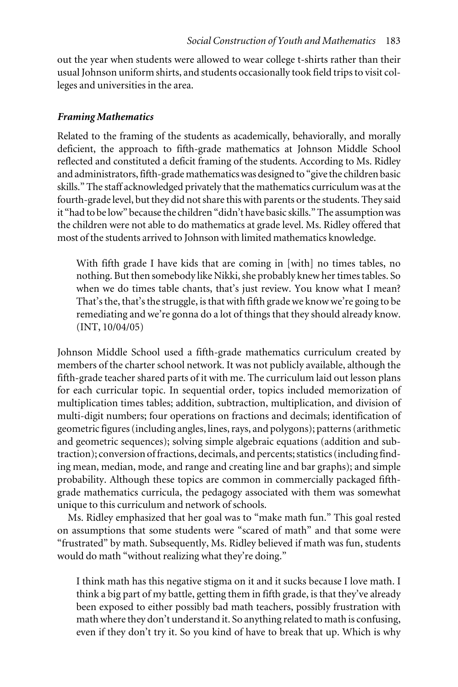out the year when students were allowed to wear college t-shirts rather than their usual Johnson uniform shirts, and students occasionally took field trips to visit colleges and universities in the area.

### *Framing Mathematics*

Related to the framing of the students as academically, behaviorally, and morally deficient, the approach to fifth-grade mathematics at Johnson Middle School reflected and constituted a deficit framing of the students. According to Ms. Ridley and administrators, fifth-grade mathematics was designed to "give the children basic skills." The staff acknowledged privately that the mathematics curriculum was at the fourth-grade level, but they did not share this with parents or the students. They said it "had to be low" because the children "didn't have basic skills." The assumption was the children were not able to do mathematics at grade level. Ms. Ridley offered that most of the students arrived to Johnson with limited mathematics knowledge.

With fifth grade I have kids that are coming in [with] no times tables, no nothing. But then somebody like Nikki, she probably knew her times tables. So when we do times table chants, that's just review. You know what I mean? That's the, that's the struggle, is that with fifth grade we know we're going to be remediating and we're gonna do a lot of things that they should already know. (INT, 10/04/05)

Johnson Middle School used a fifth-grade mathematics curriculum created by members of the charter school network. It was not publicly available, although the fifth-grade teacher shared parts of it with me. The curriculum laid out lesson plans for each curricular topic. In sequential order, topics included memorization of multiplication times tables; addition, subtraction, multiplication, and division of multi-digit numbers; four operations on fractions and decimals; identification of geometric figures (including angles, lines, rays, and polygons); patterns (arithmetic and geometric sequences); solving simple algebraic equations (addition and subtraction); conversion of fractions, decimals, and percents; statistics (including finding mean, median, mode, and range and creating line and bar graphs); and simple probability. Although these topics are common in commercially packaged fifthgrade mathematics curricula, the pedagogy associated with them was somewhat unique to this curriculum and network of schools.

Ms. Ridley emphasized that her goal was to "make math fun." This goal rested on assumptions that some students were "scared of math" and that some were "frustrated" by math. Subsequently, Ms. Ridley believed if math was fun, students would do math "without realizing what they're doing."

I think math has this negative stigma on it and it sucks because I love math. I think a big part of my battle, getting them in fifth grade, is that they've already been exposed to either possibly bad math teachers, possibly frustration with math where they don't understand it. So anything related to math is confusing, even if they don't try it. So you kind of have to break that up. Which is why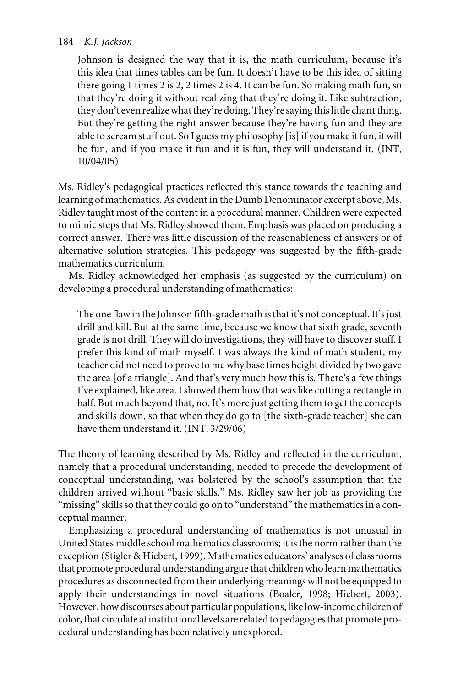Johnson is designed the way that it is, the math curriculum, because it's this idea that times tables can be fun. It doesn't have to be this idea of sitting there going 1 times 2 is 2, 2 times 2 is 4. It can be fun. So making math fun, so that they're doing it without realizing that they're doing it. Like subtraction, they don't even realize what they're doing. They're saying this little chant thing. But they're getting the right answer because they're having fun and they are able to scream stuff out. So I guess my philosophy [is] if you make it fun, it will be fun, and if you make it fun and it is fun, they will understand it. (INT, 10/04/05)

Ms. Ridley's pedagogical practices reflected this stance towards the teaching and learning of mathematics. As evident in the Dumb Denominator excerpt above, Ms. Ridley taught most of the content in a procedural manner. Children were expected to mimic steps that Ms. Ridley showed them. Emphasis was placed on producing a correct answer. There was little discussion of the reasonableness of answers or of alternative solution strategies. This pedagogy was suggested by the fifth-grade mathematics curriculum.

Ms. Ridley acknowledged her emphasis (as suggested by the curriculum) on developing a procedural understanding of mathematics:

The one flaw in the Johnson fifth-grade math is that it's not conceptual. It's just drill and kill. But at the same time, because we know that sixth grade, seventh grade is not drill. They will do investigations, they will have to discover stuff. I prefer this kind of math myself. I was always the kind of math student, my teacher did not need to prove to me why base times height divided by two gave the area [of a triangle]. And that's very much how this is. There's a few things I've explained, like area. I showed them how that was like cutting a rectangle in half. But much beyond that, no. It's more just getting them to get the concepts and skills down, so that when they do go to [the sixth-grade teacher] she can have them understand it. (INT, 3/29/06)

The theory of learning described by Ms. Ridley and reflected in the curriculum, namely that a procedural understanding, needed to precede the development of conceptual understanding, was bolstered by the school's assumption that the children arrived without "basic skills." Ms. Ridley saw her job as providing the "missing" skills so that they could go on to "understand" the mathematics in a conceptual manner.

Emphasizing a procedural understanding of mathematics is not unusual in United States middle school mathematics classrooms; it is the norm rather than the exception (Stigler & Hiebert, 1999). Mathematics educators' analyses of classrooms that promote procedural understanding argue that children who learn mathematics procedures as disconnected from their underlying meanings will not be equipped to apply their understandings in novel situations (Boaler, 1998; Hiebert, 2003). However, how discourses about particular populations, like low-income children of color, that circulate at institutional levels are related to pedagogies that promote procedural understanding has been relatively unexplored.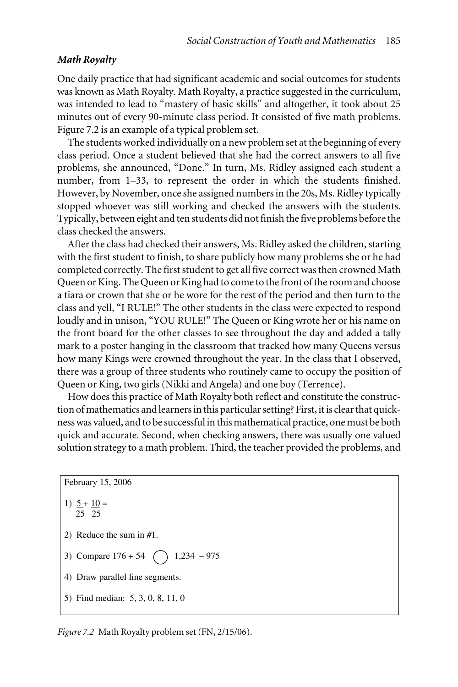### *Math Royalty*

One daily practice that had significant academic and social outcomes for students was known as Math Royalty. Math Royalty, a practice suggested in the curriculum, was intended to lead to "mastery of basic skills" and altogether, it took about 25 minutes out of every 90-minute class period. It consisted of five math problems. Figure 7.2 is an example of a typical problem set.

The students worked individually on a new problem set at the beginning of every class period. Once a student believed that she had the correct answers to all five problems, she announced, "Done." In turn, Ms. Ridley assigned each student a number, from 1–33, to represent the order in which the students finished. However, by November, once she assigned numbers in the 20s, Ms. Ridley typically stopped whoever was still working and checked the answers with the students. Typically, between eight and ten students did not finish the five problems before the class checked the answers.

After the class had checked their answers, Ms. Ridley asked the children, starting with the first student to finish, to share publicly how many problems she or he had completed correctly. The first student to get all five correct was then crowned Math Queen or King. The Queen or King had to come to the front of the room and choose a tiara or crown that she or he wore for the rest of the period and then turn to the class and yell, "I RULE!" The other students in the class were expected to respond loudly and in unison, "YOU RULE!" The Queen or King wrote her or his name on the front board for the other classes to see throughout the day and added a tally mark to a poster hanging in the classroom that tracked how many Queens versus how many Kings were crowned throughout the year. In the class that I observed, there was a group of three students who routinely came to occupy the position of Queen or King, two girls (Nikki and Angela) and one boy (Terrence).

How does this practice of Math Royalty both reflect and constitute the construction of mathematics and learners in this particular setting? First, it is clear that quickness was valued, and to be successful in this mathematical practice, one must be both quick and accurate. Second, when checking answers, there was usually one valued solution strategy to a math problem. Third, the teacher provided the problems, and

```
February 15, 2006 
1) \frac{5 + 10}{ } =
    25 25 
2) Reduce the sum in #1. 
3) Compare 176 + 54 ( ) 1,234 - 9754) Draw parallel line segments. 
5) Find median: 5, 3, 0, 8, 11, 0
```
*Figure 7.2* Math Royalty problem set (FN, 2/15/06).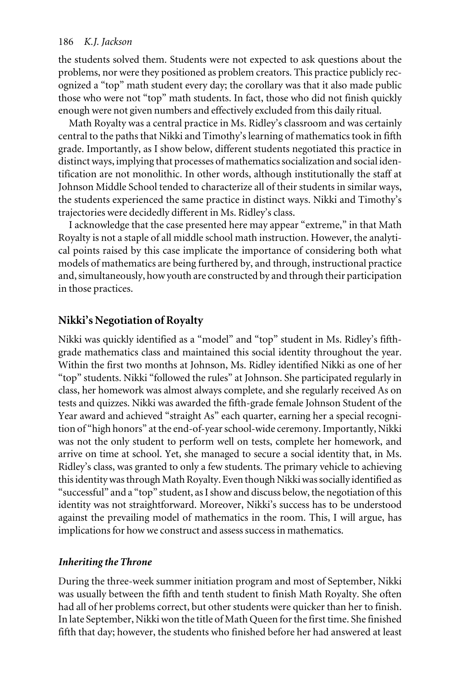the students solved them. Students were not expected to ask questions about the problems, nor were they positioned as problem creators. This practice publicly recognized a "top" math student every day; the corollary was that it also made public those who were not "top" math students. In fact, those who did not finish quickly enough were not given numbers and effectively excluded from this daily ritual.

Math Royalty was a central practice in Ms. Ridley's classroom and was certainly central to the paths that Nikki and Timothy's learning of mathematics took in fifth grade. Importantly, as I show below, different students negotiated this practice in distinct ways, implying that processes of mathematics socialization and social identification are not monolithic. In other words, although institutionally the staff at Johnson Middle School tended to characterize all of their students in similar ways, the students experienced the same practice in distinct ways. Nikki and Timothy's trajectories were decidedly different in Ms. Ridley's class.

I acknowledge that the case presented here may appear "extreme," in that Math Royalty is not a staple of all middle school math instruction. However, the analytical points raised by this case implicate the importance of considering both what models of mathematics are being furthered by, and through, instructional practice and, simultaneously, how youth are constructed by and through their participation in those practices.

## **Nikki's Negotiation of Royalty**

Nikki was quickly identified as a "model" and "top" student in Ms. Ridley's fifthgrade mathematics class and maintained this social identity throughout the year. Within the first two months at Johnson, Ms. Ridley identified Nikki as one of her "top" students. Nikki "followed the rules" at Johnson. She participated regularly in class, her homework was almost always complete, and she regularly received As on tests and quizzes. Nikki was awarded the fifth-grade female Johnson Student of the Year award and achieved "straight As" each quarter, earning her a special recognition of "high honors" at the end-of-year school-wide ceremony. Importantly, Nikki was not the only student to perform well on tests, complete her homework, and arrive on time at school. Yet, she managed to secure a social identity that, in Ms. Ridley's class, was granted to only a few students. The primary vehicle to achieving this identity was through Math Royalty. Even though Nikki was socially identified as "successful" and a "top" student, as I show and discuss below, the negotiation of this identity was not straightforward. Moreover, Nikki's success has to be understood against the prevailing model of mathematics in the room. This, I will argue, has implications for how we construct and assess success in mathematics.

## *Inheriting the Throne*

During the three-week summer initiation program and most of September, Nikki was usually between the fifth and tenth student to finish Math Royalty. She often had all of her problems correct, but other students were quicker than her to finish. In late September, Nikki won the title of Math Queen for the first time. She finished fifth that day; however, the students who finished before her had answered at least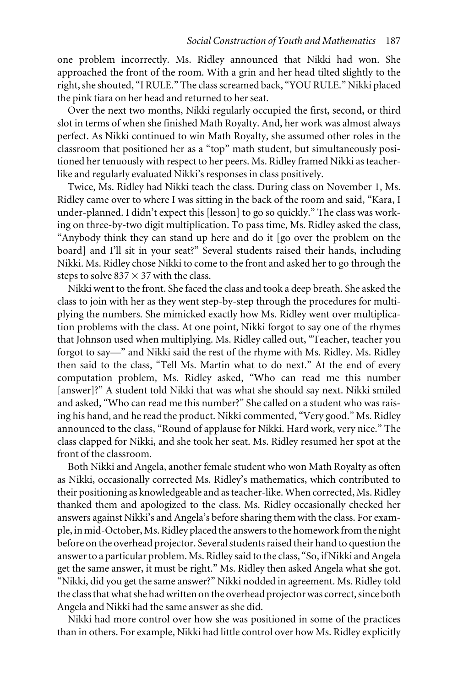one problem incorrectly. Ms. Ridley announced that Nikki had won. She approached the front of the room. With a grin and her head tilted slightly to the right, she shouted, "I RULE." The class screamed back, "YOU RULE." Nikki placed the pink tiara on her head and returned to her seat.

Over the next two months, Nikki regularly occupied the first, second, or third slot in terms of when she finished Math Royalty. And, her work was almost always perfect. As Nikki continued to win Math Royalty, she assumed other roles in the classroom that positioned her as a "top" math student, but simultaneously positioned her tenuously with respect to her peers. Ms. Ridley framed Nikki as teacherlike and regularly evaluated Nikki's responses in class positively.

Twice, Ms. Ridley had Nikki teach the class. During class on November 1, Ms. Ridley came over to where I was sitting in the back of the room and said, "Kara, I under-planned. I didn't expect this [lesson] to go so quickly." The class was working on three-by-two digit multiplication. To pass time, Ms. Ridley asked the class, "Anybody think they can stand up here and do it [go over the problem on the board] and I'll sit in your seat?" Several students raised their hands, including Nikki. Ms. Ridley chose Nikki to come to the front and asked her to go through the steps to solve  $837 \times 37$  with the class.

Nikki went to the front. She faced the class and took a deep breath. She asked the class to join with her as they went step-by-step through the procedures for multiplying the numbers. She mimicked exactly how Ms. Ridley went over multiplication problems with the class. At one point, Nikki forgot to say one of the rhymes that Johnson used when multiplying. Ms. Ridley called out, "Teacher, teacher you forgot to say—" and Nikki said the rest of the rhyme with Ms. Ridley. Ms. Ridley then said to the class, "Tell Ms. Martin what to do next." At the end of every computation problem, Ms. Ridley asked, "Who can read me this number [answer]?" A student told Nikki that was what she should say next. Nikki smiled and asked, "Who can read me this number?" She called on a student who was raising his hand, and he read the product. Nikki commented, "Very good." Ms. Ridley announced to the class, "Round of applause for Nikki. Hard work, very nice." The class clapped for Nikki, and she took her seat. Ms. Ridley resumed her spot at the front of the classroom.

Both Nikki and Angela, another female student who won Math Royalty as often as Nikki, occasionally corrected Ms. Ridley's mathematics, which contributed to their positioning as knowledgeable and as teacher-like. When corrected, Ms. Ridley thanked them and apologized to the class. Ms. Ridley occasionally checked her answers against Nikki's and Angela's before sharing them with the class. For example, in mid-October, Ms. Ridley placed the answers to the homework from the night before on the overhead projector. Several students raised their hand to question the answer to a particular problem. Ms. Ridley said to the class, "So, if Nikki and Angela get the same answer, it must be right." Ms. Ridley then asked Angela what she got. "Nikki, did you get the same answer?" Nikki nodded in agreement. Ms. Ridley told the class that what she had written on the overhead projector was correct, since both Angela and Nikki had the same answer as she did.

Nikki had more control over how she was positioned in some of the practices than in others. For example, Nikki had little control over how Ms. Ridley explicitly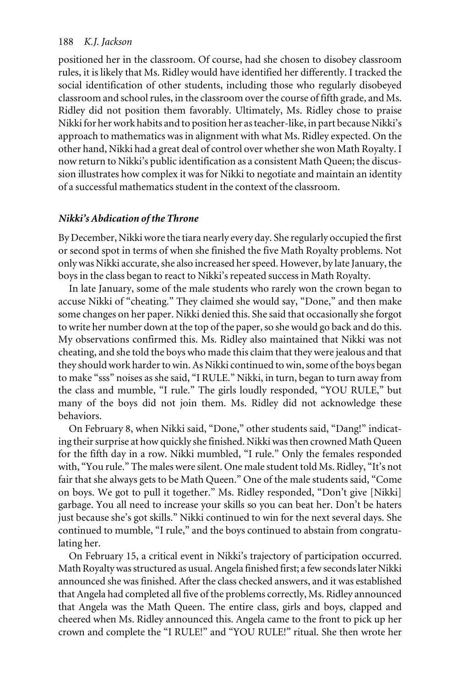positioned her in the classroom. Of course, had she chosen to disobey classroom rules, it is likely that Ms. Ridley would have identified her differently. I tracked the social identification of other students, including those who regularly disobeyed classroom and school rules, in the classroom over the course of fifth grade, and Ms. Ridley did not position them favorably. Ultimately, Ms. Ridley chose to praise Nikki for her work habits and to position her as teacher-like, in part because Nikki's approach to mathematics was in alignment with what Ms. Ridley expected. On the other hand, Nikki had a great deal of control over whether she won Math Royalty. I now return to Nikki's public identification as a consistent Math Queen; the discussion illustrates how complex it was for Nikki to negotiate and maintain an identity of a successful mathematics student in the context of the classroom.

## *Nikki's Abdication of the Throne*

By December, Nikki wore the tiara nearly every day. She regularly occupied the first or second spot in terms of when she finished the five Math Royalty problems. Not only was Nikki accurate, she also increased her speed. However, by late January, the boys in the class began to react to Nikki's repeated success in Math Royalty.

In late January, some of the male students who rarely won the crown began to accuse Nikki of "cheating." They claimed she would say, "Done," and then make some changes on her paper. Nikki denied this. She said that occasionally she forgot to write her number down at the top of the paper, so she would go back and do this. My observations confirmed this. Ms. Ridley also maintained that Nikki was not cheating, and she told the boys who made this claim that they were jealous and that they should work harder to win. As Nikki continued to win, some of the boys began to make "sss" noises as she said, "I RULE." Nikki, in turn, began to turn away from the class and mumble, "I rule." The girls loudly responded, "YOU RULE," but many of the boys did not join them. Ms. Ridley did not acknowledge these behaviors.

On February 8, when Nikki said, "Done," other students said, "Dang!" indicating their surprise at how quickly she finished. Nikki was then crowned Math Queen for the fifth day in a row. Nikki mumbled, "I rule." Only the females responded with, "You rule." The males were silent. One male student told Ms. Ridley, "It's not fair that she always gets to be Math Queen." One of the male students said, "Come on boys. We got to pull it together." Ms. Ridley responded, "Don't give [Nikki] garbage. You all need to increase your skills so you can beat her. Don't be haters just because she's got skills." Nikki continued to win for the next several days. She continued to mumble, "I rule," and the boys continued to abstain from congratulating her.

On February 15, a critical event in Nikki's trajectory of participation occurred. Math Royalty was structured as usual. Angela finished first; a few seconds later Nikki announced she was finished. After the class checked answers, and it was established that Angela had completed all five of the problems correctly, Ms. Ridley announced that Angela was the Math Queen. The entire class, girls and boys, clapped and cheered when Ms. Ridley announced this. Angela came to the front to pick up her crown and complete the "I RULE!" and "YOU RULE!" ritual. She then wrote her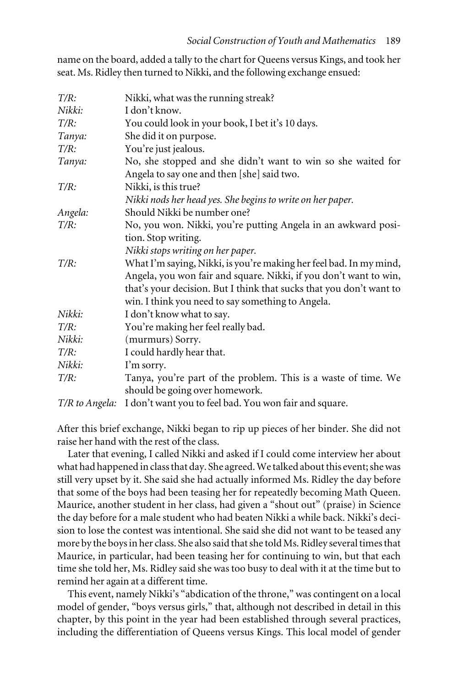name on the board, added a tally to the chart for Queens versus Kings, and took her seat. Ms. Ridley then turned to Nikki, and the following exchange ensued:

| $T/R$ : | Nikki, what was the running streak?                                             |
|---------|---------------------------------------------------------------------------------|
| Nikki:  | I don't know.                                                                   |
| $T/R$ : | You could look in your book, I bet it's 10 days.                                |
| Tanya:  | She did it on purpose.                                                          |
| $T/R$ : | You're just jealous.                                                            |
| Tanya:  | No, she stopped and she didn't want to win so she waited for                    |
|         | Angela to say one and then [she] said two.                                      |
| $T/R$ : | Nikki, is this true?                                                            |
|         | Nikki nods her head yes. She begins to write on her paper.                      |
| Angela: | Should Nikki be number one?                                                     |
| $T/R$ : | No, you won. Nikki, you're putting Angela in an awkward posi-                   |
|         | tion. Stop writing.                                                             |
|         | Nikki stops writing on her paper.                                               |
| $T/R$ : | What I'm saying, Nikki, is you're making her feel bad. In my mind,              |
|         | Angela, you won fair and square. Nikki, if you don't want to win,               |
|         | that's your decision. But I think that sucks that you don't want to             |
|         | win. I think you need to say something to Angela.                               |
| Nikki:  | I don't know what to say.                                                       |
| $T/R$ : | You're making her feel really bad.                                              |
| Nikki:  | (murmurs) Sorry.                                                                |
| $T/R$ : | I could hardly hear that.                                                       |
| Nikki:  | I'm sorry.                                                                      |
| $T/R$ : | Tanya, you're part of the problem. This is a waste of time. We                  |
|         | should be going over homework.                                                  |
|         | $T/D$ is August . If $1-p_1, \ldots, 1-p_n$ is $f_{n+1}$ is $1 \leq j \leq n-1$ |

*T/R to Angela:* I don't want you to feel bad. You won fair and square.

After this brief exchange, Nikki began to rip up pieces of her binder. She did not raise her hand with the rest of the class.

Later that evening, I called Nikki and asked if I could come interview her about what had happened in class that day. She agreed. We talked about this event; she was still very upset by it. She said she had actually informed Ms. Ridley the day before that some of the boys had been teasing her for repeatedly becoming Math Queen. Maurice, another student in her class, had given a "shout out" (praise) in Science the day before for a male student who had beaten Nikki a while back. Nikki's decision to lose the contest was intentional. She said she did not want to be teased any more by the boys in her class. She also said that she told Ms. Ridley several times that Maurice, in particular, had been teasing her for continuing to win, but that each time she told her, Ms. Ridley said she was too busy to deal with it at the time but to remind her again at a different time.

This event, namely Nikki's "abdication of the throne," was contingent on a local model of gender, "boys versus girls," that, although not described in detail in this chapter, by this point in the year had been established through several practices, including the differentiation of Queens versus Kings. This local model of gender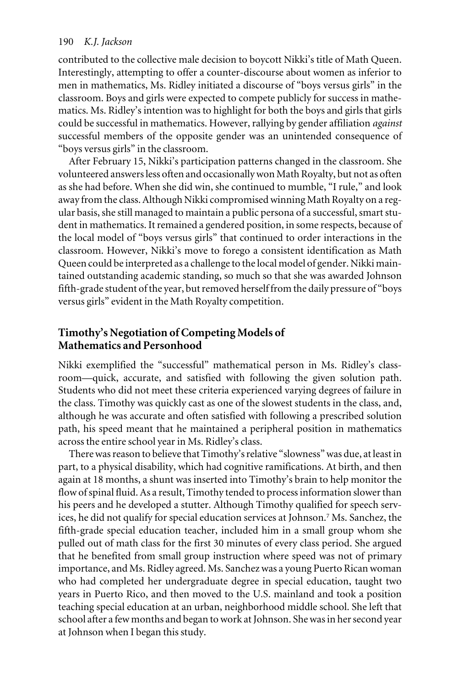contributed to the collective male decision to boycott Nikki's title of Math Queen. Interestingly, attempting to offer a counter-discourse about women as inferior to men in mathematics, Ms. Ridley initiated a discourse of "boys versus girls" in the classroom. Boys and girls were expected to compete publicly for success in mathematics. Ms. Ridley's intention was to highlight for both the boys and girls that girls could be successful in mathematics. However, rallying by gender affiliation *against* successful members of the opposite gender was an unintended consequence of "boys versus girls" in the classroom.

After February 15, Nikki's participation patterns changed in the classroom. She volunteered answers less often and occasionally won Math Royalty, but not as often as she had before. When she did win, she continued to mumble, "I rule," and look away from the class. Although Nikki compromised winning Math Royalty on a regular basis, she still managed to maintain a public persona of a successful, smart student in mathematics. It remained a gendered position, in some respects, because of the local model of "boys versus girls" that continued to order interactions in the classroom. However, Nikki's move to forego a consistent identification as Math Queen could be interpreted as a challenge to the local model of gender. Nikki maintained outstanding academic standing, so much so that she was awarded Johnson fifth-grade student of the year, but removed herself from the daily pressure of "boys versus girls" evident in the Math Royalty competition.

## **Timothy's Negotiation of Competing Models of Mathematics and Personhood**

Nikki exemplified the "successful" mathematical person in Ms. Ridley's classroom—quick, accurate, and satisfied with following the given solution path. Students who did not meet these criteria experienced varying degrees of failure in the class. Timothy was quickly cast as one of the slowest students in the class, and, although he was accurate and often satisfied with following a prescribed solution path, his speed meant that he maintained a peripheral position in mathematics across the entire school year in Ms. Ridley's class.

There was reason to believe that Timothy's relative "slowness" was due, at least in part, to a physical disability, which had cognitive ramifications. At birth, and then again at 18 months, a shunt was inserted into Timothy's brain to help monitor the flow of spinal fluid. As a result, Timothy tended to process information slower than his peers and he developed a stutter. Although Timothy qualified for speech services, he did not qualify for special education services at Johnson.7 Ms. Sanchez, the fifth-grade special education teacher, included him in a small group whom she pulled out of math class for the first 30 minutes of every class period. She argued that he benefited from small group instruction where speed was not of primary importance, and Ms. Ridley agreed. Ms. Sanchez was a young Puerto Rican woman who had completed her undergraduate degree in special education, taught two years in Puerto Rico, and then moved to the U.S. mainland and took a position teaching special education at an urban, neighborhood middle school. She left that school after a few months and began to work at Johnson. She was in her second year at Johnson when I began this study.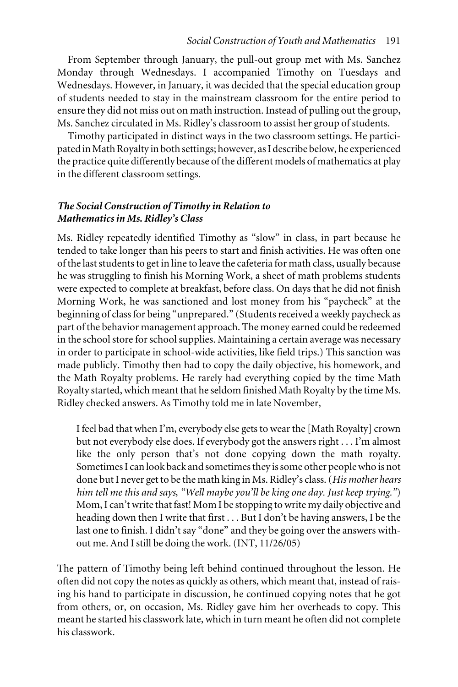From September through January, the pull-out group met with Ms. Sanchez Monday through Wednesdays. I accompanied Timothy on Tuesdays and Wednesdays. However, in January, it was decided that the special education group of students needed to stay in the mainstream classroom for the entire period to ensure they did not miss out on math instruction. Instead of pulling out the group, Ms. Sanchez circulated in Ms. Ridley's classroom to assist her group of students.

Timothy participated in distinct ways in the two classroom settings. He participated in Math Royalty in both settings; however, as I describe below, he experienced the practice quite differently because of the different models of mathematics at play in the different classroom settings.

## *The Social Construction of Timothy in Relation to Mathematics in Ms. Ridley's Class*

Ms. Ridley repeatedly identified Timothy as "slow" in class, in part because he tended to take longer than his peers to start and finish activities. He was often one of the last students to get in line to leave the cafeteria for math class, usually because he was struggling to finish his Morning Work, a sheet of math problems students were expected to complete at breakfast, before class. On days that he did not finish Morning Work, he was sanctioned and lost money from his "paycheck" at the beginning of class for being "unprepared." (Students received a weekly paycheck as part of the behavior management approach. The money earned could be redeemed in the school store for school supplies. Maintaining a certain average was necessary in order to participate in school-wide activities, like field trips.) This sanction was made publicly. Timothy then had to copy the daily objective, his homework, and the Math Royalty problems. He rarely had everything copied by the time Math Royalty started, which meant that he seldom finished Math Royalty by the time Ms. Ridley checked answers. As Timothy told me in late November,

I feel bad that when I'm, everybody else gets to wear the [Math Royalty] crown but not everybody else does. If everybody got the answers right . . . I'm almost like the only person that's not done copying down the math royalty. Sometimes I can look back and sometimes they is some other people who is not done but I never get to be the math king in Ms. Ridley's class. (*His mother hears him tell me this and says, "Well maybe you'll be king one day. Just keep trying."*) Mom, I can't write that fast! Mom I be stopping to write my daily objective and heading down then I write that first . . . But I don't be having answers, I be the last one to finish. I didn't say "done" and they be going over the answers without me. And I still be doing the work. (INT, 11/26/05)

The pattern of Timothy being left behind continued throughout the lesson. He often did not copy the notes as quickly as others, which meant that, instead of raising his hand to participate in discussion, he continued copying notes that he got from others, or, on occasion, Ms. Ridley gave him her overheads to copy. This meant he started his classwork late, which in turn meant he often did not complete his classwork.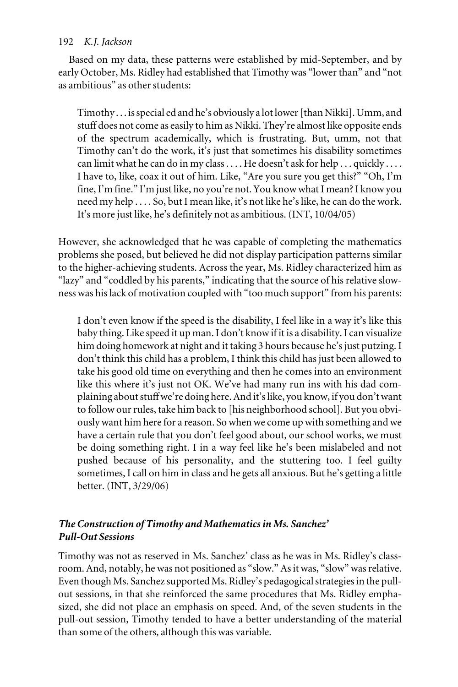Based on my data, these patterns were established by mid-September, and by early October, Ms. Ridley had established that Timothy was "lower than" and "not as ambitious" as other students:

Timothy . . . is special ed and he's obviously a lot lower [than Nikki]. Umm, and stuff does not come as easily to him as Nikki. They're almost like opposite ends of the spectrum academically, which is frustrating. But, umm, not that Timothy can't do the work, it's just that sometimes his disability sometimes can limit what he can do in my class . . . . He doesn't ask for help . . . quickly . . . . I have to, like, coax it out of him. Like, "Are you sure you get this?" "Oh, I'm fine, I'm fine." I'm just like, no you're not. You know what I mean? I know you need my help . . . . So, but I mean like, it's not like he's like, he can do the work. It's more just like, he's definitely not as ambitious. (INT, 10/04/05)

However, she acknowledged that he was capable of completing the mathematics problems she posed, but believed he did not display participation patterns similar to the higher-achieving students. Across the year, Ms. Ridley characterized him as "lazy" and "coddled by his parents," indicating that the source of his relative slowness was his lack of motivation coupled with "too much support" from his parents:

I don't even know if the speed is the disability, I feel like in a way it's like this baby thing. Like speed it up man. I don't know if it is a disability. I can visualize him doing homework at night and it taking 3 hours because he's just putzing. I don't think this child has a problem, I think this child has just been allowed to take his good old time on everything and then he comes into an environment like this where it's just not OK. We've had many run ins with his dad complaining about stuff we're doing here. And it's like, you know, if you don't want to follow our rules, take him back to [his neighborhood school]. But you obviously want him here for a reason. So when we come up with something and we have a certain rule that you don't feel good about, our school works, we must be doing something right. I in a way feel like he's been mislabeled and not pushed because of his personality, and the stuttering too. I feel guilty sometimes, I call on him in class and he gets all anxious. But he's getting a little better. (INT, 3/29/06)

## *The Construction of Timothy and Mathematics in Ms. Sanchez' Pull-Out Sessions*

Timothy was not as reserved in Ms. Sanchez' class as he was in Ms. Ridley's classroom. And, notably, he was not positioned as "slow." As it was, "slow" was relative. Even though Ms. Sanchez supported Ms. Ridley's pedagogical strategies in the pullout sessions, in that she reinforced the same procedures that Ms. Ridley emphasized, she did not place an emphasis on speed. And, of the seven students in the pull-out session, Timothy tended to have a better understanding of the material than some of the others, although this was variable.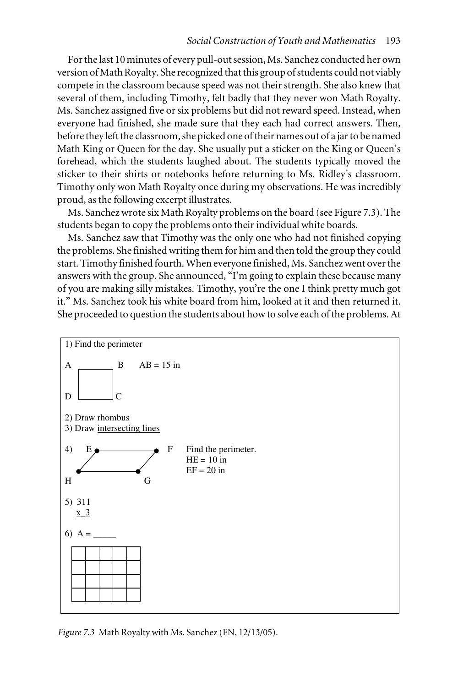For the last 10 minutes of every pull-out session, Ms. Sanchez conducted her own version of Math Royalty. She recognized that this group of students could not viably compete in the classroom because speed was not their strength. She also knew that several of them, including Timothy, felt badly that they never won Math Royalty. Ms. Sanchez assigned five or six problems but did not reward speed. Instead, when everyone had finished, she made sure that they each had correct answers. Then, before they left the classroom, she picked one of their names out of a jar to be named Math King or Queen for the day. She usually put a sticker on the King or Queen's forehead, which the students laughed about. The students typically moved the sticker to their shirts or notebooks before returning to Ms. Ridley's classroom. Timothy only won Math Royalty once during my observations. He was incredibly proud, as the following excerpt illustrates.

Ms. Sanchez wrote six Math Royalty problems on the board (see Figure 7.3). The students began to copy the problems onto their individual white boards.

Ms. Sanchez saw that Timothy was the only one who had not finished copying the problems. She finished writing them for him and then told the group they could start. Timothy finished fourth. When everyone finished, Ms. Sanchez went over the answers with the group. She announced, "I'm going to explain these because many of you are making silly mistakes. Timothy, you're the one I think pretty much got it." Ms. Sanchez took his white board from him, looked at it and then returned it. She proceeded to question the students about how to solve each of the problems. At



*Figure 7.3* Math Royalty with Ms. Sanchez (FN, 12/13/05).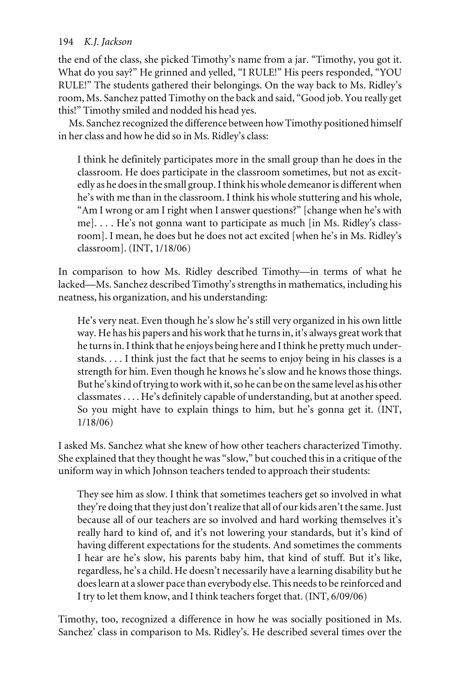the end of the class, she picked Timothy's name from a jar. "Timothy, you got it. What do you say?" He grinned and yelled, "I RULE!" His peers responded, "YOU RULE!" The students gathered their belongings. On the way back to Ms. Ridley's room, Ms. Sanchez patted Timothy on the back and said, "Good job. You really get this!" Timothy smiled and nodded his head yes.

Ms. Sanchez recognized the difference between how Timothy positioned himself in her class and how he did so in Ms. Ridley's class:

I think he definitely participates more in the small group than he does in the classroom. He does participate in the classroom sometimes, but not as excitedly as he does in the small group. I think his whole demeanor is different when he's with me than in the classroom. I think his whole stuttering and his whole, "Am I wrong or am I right when I answer questions?" [change when he's with me]. . . . He's not gonna want to participate as much [in Ms. Ridley's classroom]. I mean, he does but he does not act excited [when he's in Ms. Ridley's classroom]. (INT, 1/18/06)

In comparison to how Ms. Ridley described Timothy—in terms of what he lacked—Ms. Sanchez described Timothy's strengths in mathematics, including his neatness, his organization, and his understanding:

He's very neat. Even though he's slow he's still very organized in his own little way. He has his papers and his work that he turns in, it's always great work that he turns in. I think that he enjoys being here and I think he pretty much understands. . . . I think just the fact that he seems to enjoy being in his classes is a strength for him. Even though he knows he's slow and he knows those things. But he's kind of trying to work with it, so he can be on the same level as his other classmates . . . . He's definitely capable of understanding, but at another speed. So you might have to explain things to him, but he's gonna get it. (INT, 1/18/06)

I asked Ms. Sanchez what she knew of how other teachers characterized Timothy. She explained that they thought he was "slow," but couched this in a critique of the uniform way in which Johnson teachers tended to approach their students:

They see him as slow. I think that sometimes teachers get so involved in what they're doing that they just don't realize that all of our kids aren't the same. Just because all of our teachers are so involved and hard working themselves it's really hard to kind of, and it's not lowering your standards, but it's kind of having different expectations for the students. And sometimes the comments I hear are he's slow, his parents baby him, that kind of stuff. But it's like, regardless, he's a child. He doesn't necessarily have a learning disability but he does learn at a slower pace than everybody else. This needs to be reinforced and I try to let them know, and I think teachers forget that. (INT, 6/09/06)

Timothy, too, recognized a difference in how he was socially positioned in Ms. Sanchez' class in comparison to Ms. Ridley's. He described several times over the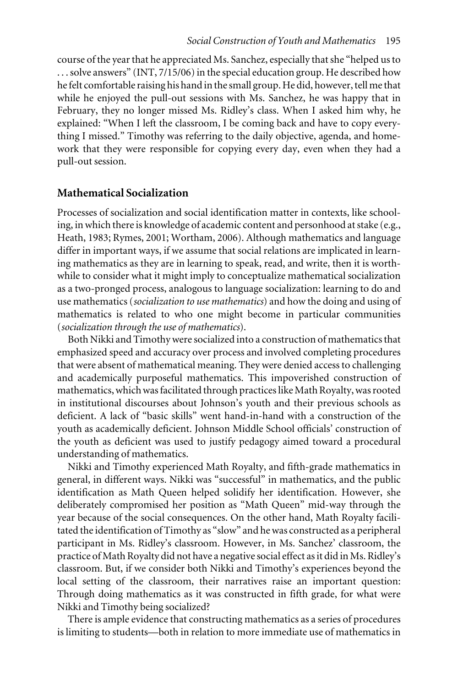course of the year that he appreciated Ms. Sanchez, especially that she "helped us to . . . solve answers" (INT, 7/15/06) in the special education group. He described how he felt comfortable raising his hand in the small group. He did, however, tell me that while he enjoyed the pull-out sessions with Ms. Sanchez, he was happy that in February, they no longer missed Ms. Ridley's class. When I asked him why, he explained: "When I left the classroom, I be coming back and have to copy everything I missed." Timothy was referring to the daily objective, agenda, and homework that they were responsible for copying every day, even when they had a pull-out session.

## **Mathematical Socialization**

Processes of socialization and social identification matter in contexts, like schooling, in which there is knowledge of academic content and personhood at stake (e.g., Heath, 1983; Rymes, 2001; Wortham, 2006). Although mathematics and language differ in important ways, if we assume that social relations are implicated in learning mathematics as they are in learning to speak, read, and write, then it is worthwhile to consider what it might imply to conceptualize mathematical socialization as a two-pronged process, analogous to language socialization: learning to do and use mathematics (*socialization to use mathematics*) and how the doing and using of mathematics is related to who one might become in particular communities (*socialization through the use of mathematics*).

Both Nikki and Timothy were socialized into a construction of mathematics that emphasized speed and accuracy over process and involved completing procedures that were absent of mathematical meaning. They were denied access to challenging and academically purposeful mathematics. This impoverished construction of mathematics, which was facilitated through practices like Math Royalty, was rooted in institutional discourses about Johnson's youth and their previous schools as deficient. A lack of "basic skills" went hand-in-hand with a construction of the youth as academically deficient. Johnson Middle School officials' construction of the youth as deficient was used to justify pedagogy aimed toward a procedural understanding of mathematics.

Nikki and Timothy experienced Math Royalty, and fifth-grade mathematics in general, in different ways. Nikki was "successful" in mathematics, and the public identification as Math Queen helped solidify her identification. However, she deliberately compromised her position as "Math Queen" mid-way through the year because of the social consequences. On the other hand, Math Royalty facilitated the identification of Timothy as "slow" and he was constructed as a peripheral participant in Ms. Ridley's classroom. However, in Ms. Sanchez' classroom, the practice of Math Royalty did not have a negative social effect as it did in Ms. Ridley's classroom. But, if we consider both Nikki and Timothy's experiences beyond the local setting of the classroom, their narratives raise an important question: Through doing mathematics as it was constructed in fifth grade, for what were Nikki and Timothy being socialized?

There is ample evidence that constructing mathematics as a series of procedures is limiting to students—both in relation to more immediate use of mathematics in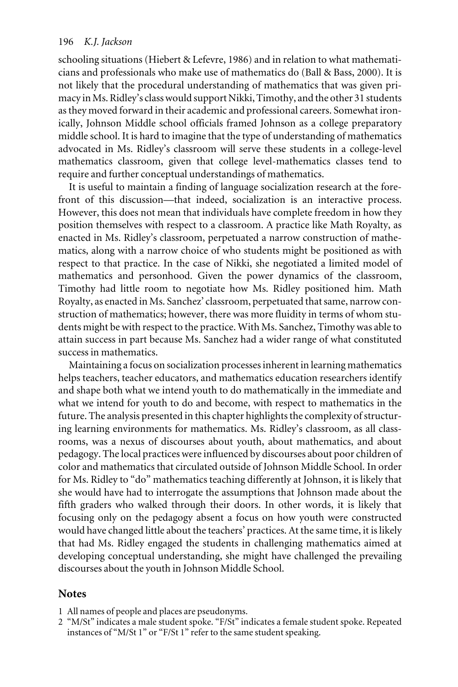schooling situations (Hiebert & Lefevre, 1986) and in relation to what mathematicians and professionals who make use of mathematics do (Ball & Bass, 2000). It is not likely that the procedural understanding of mathematics that was given primacy in Ms. Ridley's class would support Nikki, Timothy, and the other 31 students as they moved forward in their academic and professional careers. Somewhat ironically, Johnson Middle school officials framed Johnson as a college preparatory middle school. It is hard to imagine that the type of understanding of mathematics advocated in Ms. Ridley's classroom will serve these students in a college-level mathematics classroom, given that college level-mathematics classes tend to require and further conceptual understandings of mathematics.

It is useful to maintain a finding of language socialization research at the forefront of this discussion—that indeed, socialization is an interactive process. However, this does not mean that individuals have complete freedom in how they position themselves with respect to a classroom. A practice like Math Royalty, as enacted in Ms. Ridley's classroom, perpetuated a narrow construction of mathematics, along with a narrow choice of who students might be positioned as with respect to that practice. In the case of Nikki, she negotiated a limited model of mathematics and personhood. Given the power dynamics of the classroom, Timothy had little room to negotiate how Ms. Ridley positioned him. Math Royalty, as enacted in Ms. Sanchez' classroom, perpetuated that same, narrow construction of mathematics; however, there was more fluidity in terms of whom students might be with respect to the practice. With Ms. Sanchez, Timothy was able to attain success in part because Ms. Sanchez had a wider range of what constituted success in mathematics.

Maintaining a focus on socialization processes inherent in learning mathematics helps teachers, teacher educators, and mathematics education researchers identify and shape both what we intend youth to do mathematically in the immediate and what we intend for youth to do and become, with respect to mathematics in the future. The analysis presented in this chapter highlights the complexity of structuring learning environments for mathematics. Ms. Ridley's classroom, as all classrooms, was a nexus of discourses about youth, about mathematics, and about pedagogy. The local practices were influenced by discourses about poor children of color and mathematics that circulated outside of Johnson Middle School. In order for Ms. Ridley to "do" mathematics teaching differently at Johnson, it is likely that she would have had to interrogate the assumptions that Johnson made about the fifth graders who walked through their doors. In other words, it is likely that focusing only on the pedagogy absent a focus on how youth were constructed would have changed little about the teachers' practices. At the same time, it is likely that had Ms. Ridley engaged the students in challenging mathematics aimed at developing conceptual understanding, she might have challenged the prevailing discourses about the youth in Johnson Middle School.

## **Notes**

<sup>1</sup> All names of people and places are pseudonyms.

<sup>2 &</sup>quot;M/St" indicates a male student spoke. "F/St" indicates a female student spoke. Repeated instances of "M/St 1" or "F/St 1" refer to the same student speaking.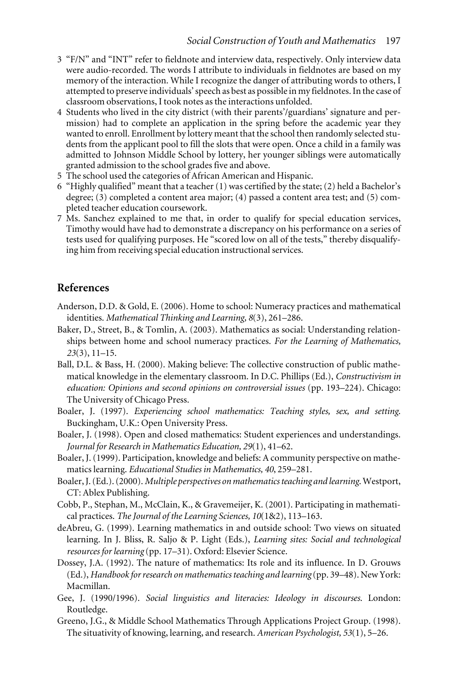- 3 "F/N" and "INT" refer to fieldnote and interview data, respectively. Only interview data were audio-recorded. The words I attribute to individuals in fieldnotes are based on my memory of the interaction. While I recognize the danger of attributing words to others, I attempted to preserve individuals' speech as best as possible in my fieldnotes. In the case of classroom observations, I took notes as the interactions unfolded.
- 4 Students who lived in the city district (with their parents'/guardians' signature and permission) had to complete an application in the spring before the academic year they wanted to enroll. Enrollment by lottery meant that the school then randomly selected students from the applicant pool to fill the slots that were open. Once a child in a family was admitted to Johnson Middle School by lottery, her younger siblings were automatically granted admission to the school grades five and above.
- 5 The school used the categories of African American and Hispanic.
- 6 "Highly qualified" meant that a teacher (1) was certified by the state; (2) held a Bachelor's degree; (3) completed a content area major; (4) passed a content area test; and (5) completed teacher education coursework.
- 7 Ms. Sanchez explained to me that, in order to qualify for special education services, Timothy would have had to demonstrate a discrepancy on his performance on a series of tests used for qualifying purposes. He "scored low on all of the tests," thereby disqualifying him from receiving special education instructional services.

## **References**

- Anderson, D.D. & Gold, E. (2006). Home to school: Numeracy practices and mathematical identities. *Mathematical Thinking and Learning, 8*(3), 261–286.
- Baker, D., Street, B., & Tomlin, A. (2003). Mathematics as social: Understanding relationships between home and school numeracy practices. *For the Learning of Mathematics, 23*(3), 11–15.
- Ball, D.L. & Bass, H. (2000). Making believe: The collective construction of public mathematical knowledge in the elementary classroom. In D.C. Phillips (Ed.), *Constructivism in education: Opinions and second opinions on controversial issues* (pp. 193–224). Chicago: The University of Chicago Press.
- Boaler, J. (1997). *Experiencing school mathematics: Teaching styles, sex, and setting*. Buckingham, U.K.: Open University Press.
- Boaler, J. (1998). Open and closed mathematics: Student experiences and understandings. *Journal for Research in Mathematics Education, 29*(1), 41–62.
- Boaler, J. (1999). Participation, knowledge and beliefs: A community perspective on mathematics learning. *Educational Studies in Mathematics, 40*, 259–281.
- Boaler, J. (Ed.). (2000). *Multiple perspectives on mathematics teaching and learning*. Westport, CT: Ablex Publishing.
- Cobb, P., Stephan, M., McClain, K., & Gravemeijer, K. (2001). Participating in mathematical practices. *The Journal of the Learning Sciences, 10*(1&2), 113–163.
- deAbreu, G. (1999). Learning mathematics in and outside school: Two views on situated learning. In J. Bliss, R. Saljo & P. Light (Eds.), *Learning sites: Social and technological resources for learning* (pp. 17–31). Oxford: Elsevier Science.
- Dossey, J.A. (1992). The nature of mathematics: Its role and its influence. In D. Grouws (Ed.), *Handbook for research on mathematics teaching and learning* (pp. 39–48). New York: Macmillan.
- Gee, J. (1990/1996). *Social linguistics and literacies: Ideology in discourses*. London: Routledge.
- Greeno, J.G., & Middle School Mathematics Through Applications Project Group. (1998). The situativity of knowing, learning, and research. *American Psychologist, 53*(1), 5–26.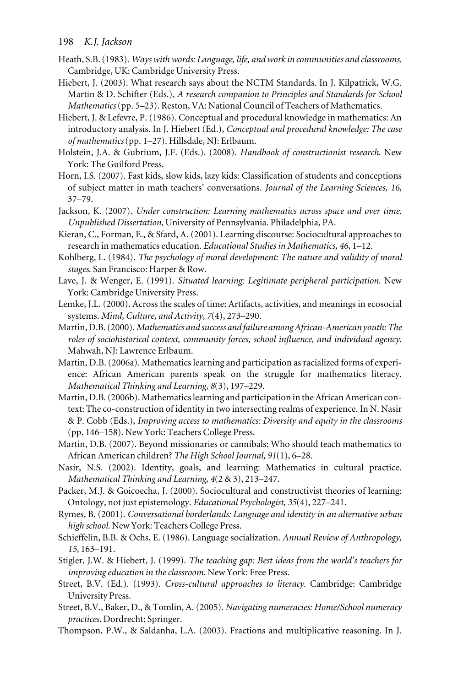- Heath, S.B. (1983). *Ways with words: Language, life, and work in communities and classrooms*. Cambridge, UK: Cambridge University Press.
- Hiebert, J. (2003). What research says about the NCTM Standards. In J. Kilpatrick, W.G. Martin & D. Schifter (Eds.), *A research companion to Principles and Standards for School Mathematics*(pp. 5–23). Reston, VA: National Council of Teachers of Mathematics.
- Hiebert, J. & Lefevre, P. (1986). Conceptual and procedural knowledge in mathematics: An introductory analysis. In J. Hiebert (Ed.), *Conceptual and procedural knowledge: The case of mathematics*(pp. 1–27). Hillsdale, NJ: Erlbaum.
- Holstein, J.A. & Gubrium, J.F. (Eds.). (2008). *Handbook of constructionist research*. New York: The Guilford Press.
- Horn, I.S. (2007). Fast kids, slow kids, lazy kids: Classification of students and conceptions of subject matter in math teachers' conversations. *Journal of the Learning Sciences, 16*, 37–79.
- Jackson, K. (2007). *Under construction: Learning mathematics across space and over time. Unpublished Dissertation*, University of Pennsylvania. Philadelphia, PA.
- Kieran, C., Forman, E., & Sfard, A. (2001). Learning discourse: Sociocultural approaches to research in mathematics education. *Educational Studies in Mathematics, 46*, 1–12.
- Kohlberg, L. (1984). *The psychology of moral development: The nature and validity of moral stages*. San Francisco: Harper & Row.
- Lave, J. & Wenger, E. (1991). *Situated learning: Legitimate peripheral participation*. New York: Cambridge University Press.
- Lemke, J.L. (2000). Across the scales of time: Artifacts, activities, and meanings in ecosocial systems. *Mind, Culture, and Activity, 7*(4), 273–290.
- Martin, D.B. (2000). *Mathematics and success and failure among African-American youth: The roles of sociohistorical context, community forces, school influence, and individual agency*. Mahwah, NJ: Lawrence Erlbaum.
- Martin, D.B. (2006a). Mathematics learning and participation as racialized forms of experience: African American parents speak on the struggle for mathematics literacy. *Mathematical Thinking and Learning, 8*(3), 197–229.
- Martin, D.B. (2006b). Mathematics learning and participation in the African American context: The co-construction of identity in two intersecting realms of experience. In N. Nasir & P. Cobb (Eds.), *Improving access to mathematics: Diversity and equity in the classrooms* (pp. 146–158). New York: Teachers College Press.
- Martin, D.B. (2007). Beyond missionaries or cannibals: Who should teach mathematics to African American children? *The High School Journal, 91*(1), 6–28.
- Nasir, N.S. (2002). Identity, goals, and learning: Mathematics in cultural practice. *Mathematical Thinking and Learning, 4*(2 & 3), 213–247.
- Packer, M.J. & Goicoecha, J. (2000). Sociocultural and constructivist theories of learning: Ontology, not just epistemology. *Educational Psychologist, 35*(4), 227–241.
- Rymes, B. (2001). *Conversational borderlands: Language and identity in an alternative urban high school*. New York: Teachers College Press.
- Schieffelin, B.B. & Ochs, E. (1986). Language socialization. *Annual Review of Anthropology, 15*, 163–191.
- Stigler, J.W. & Hiebert, J. (1999). *The teaching gap: Best ideas from the world's teachers for improving education in the classroom*. New York: Free Press.
- Street, B.V. (Ed.). (1993). *Cross-cultural approaches to literacy*. Cambridge: Cambridge University Press.
- Street, B.V., Baker, D., & Tomlin, A. (2005). *Navigating numeracies: Home/School numeracy practices*. Dordrecht: Springer.
- Thompson, P.W., & Saldanha, L.A. (2003). Fractions and multiplicative reasoning. In J.